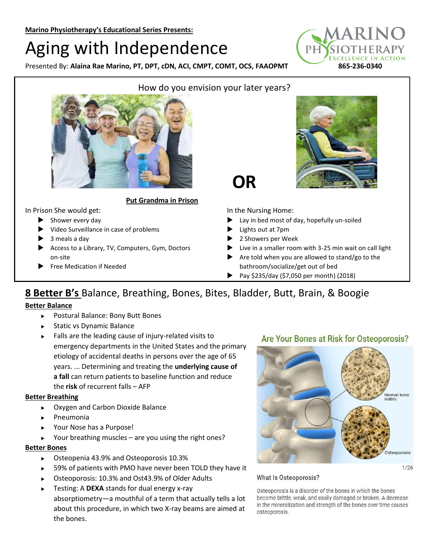# Aging with Independence

Presented By: Alaina Rae Marino, PT, DPT, cDN, ACI, CMPT, COMT, OCS, FAAOPMT 865-236-0340





## **Put Grandma in Prison**

#### In Prison She would get:

- $\blacktriangleright$  Shower every day
- Video Surveillance in case of problems
- 3 meals a day
- Access to a Library, TV, Computers, Gym, Doctors on-site
- Free Medication if Needed



In the Nursing Home:

- Lay in bed most of day, hopefully un-soiled
- Lights out at 7pm
- ▶ 2 Showers per Week
- $\blacktriangleright$  Live in a smaller room with 3-25 min wait on call light
- Are told when you are allowed to stand/go to the bathroom/socialize/get out of bed
- **Pay \$235/day (\$7,050 per month) (2018)**

# **8 Better B's** Balance, Breathing, Bones, Bites, Bladder, Butt, Brain, & Boogie

#### **Better Balance**

- ▶ Postural Balance: Bony Butt Bones
- ▶ Static vs Dynamic Balance
- $\blacktriangleright$  Falls are the leading cause of injury-related visits to emergency departments in the United States and the primary etiology of accidental deaths in persons over the age of 65 years. ... Determining and treating the **underlying cause of a fall** can return patients to baseline function and reduce the **risk** of recurrent falls – AFP

#### **Better Breathing**

- Oxygen and Carbon Dioxide Balance
- **Pneumonia**
- ▶ Your Nose has a Purpose!
- Your breathing muscles are you using the right ones?

#### **Better Bones**

- Osteopenia 43.9% and Osteoporosis 10.3%
- ▶ 59% of patients with PMO have never been TOLD they have it
- ▶ Osteoporosis: 10.3% and Ost43.9% of Older Adults
- Testing: A **DEXA** stands for dual energy x-ray absorptiometry—a mouthful of a term that actually tells a lot about this procedure, in which two X-ray beams are aimed at the bones.

### Are Your Bones at Risk for Osteoporosis?



#### What Is Osteoporosis?

Osteoporosis is a disorder of the bones in which the bones become brittle, weak, and easily damaged or broken. A decrease in the mineralization and strength of the bones over time causes osteoporosis.